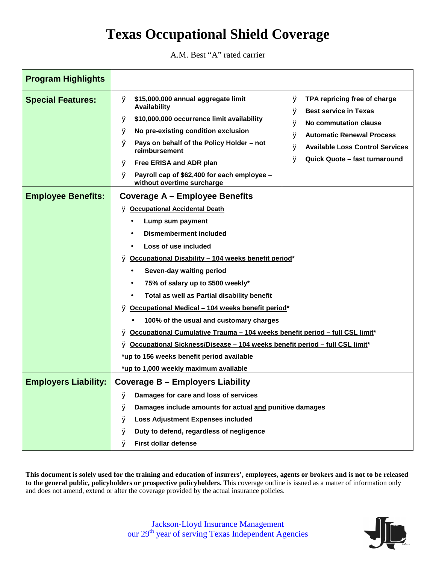# **Texas Occupational Shield Coverage**

A.M. Best "A" rated carrier

| <b>Program Highlights</b>   |                                                                                                                                                                                                                                                                                                                                                                                                                                                                                                                                                                                                                                                                                                          |
|-----------------------------|----------------------------------------------------------------------------------------------------------------------------------------------------------------------------------------------------------------------------------------------------------------------------------------------------------------------------------------------------------------------------------------------------------------------------------------------------------------------------------------------------------------------------------------------------------------------------------------------------------------------------------------------------------------------------------------------------------|
| <b>Special Features:</b>    | \$15,000,000 annual aggregate limit<br>TPA repricing free of charge<br>Ø<br>Ø<br>Availability<br><b>Best service in Texas</b><br>Ø<br>\$10,000,000 occurrence limit availability<br>Ø<br>No commutation clause<br>Ø<br>No pre-existing condition exclusion<br>Ø<br><b>Automatic Renewal Process</b><br>Ø<br>Pays on behalf of the Policy Holder - not<br>Ø<br><b>Available Loss Control Services</b><br>Ø<br>reimbursement<br>Quick Quote - fast turnaround<br>Ø<br>Free ERISA and ADR plan<br>Ø                                                                                                                                                                                                         |
|                             | Payroll cap of \$62,400 for each employee -<br>Ø<br>without overtime surcharge                                                                                                                                                                                                                                                                                                                                                                                                                                                                                                                                                                                                                           |
| <b>Employee Benefits:</b>   | <b>Coverage A - Employee Benefits</b><br>Ø Occupational Accidental Death<br>Lump sum payment<br><b>Dismemberment included</b><br>Loss of use included<br>Ø Occupational Disability - 104 weeks benefit period*<br>Seven-day waiting period<br>$\bullet$<br>75% of salary up to \$500 weekly*<br>٠<br>Total as well as Partial disability benefit<br>Ø Occupational Medical - 104 weeks benefit period*<br>100% of the usual and customary charges<br>Ø Occupational Cumulative Trauma - 104 weeks benefit period - full CSL limit*<br>Ø Occupational Sickness/Disease - 104 weeks benefit period - full CSL limit*<br>*up to 156 weeks benefit period available<br>*up to 1,000 weekly maximum available |
| <b>Employers Liability:</b> | Coverage B – Employers Liability<br>Damages for care and loss of services<br>Ø<br>Damages include amounts for actual and punitive damages<br>Ø<br><b>Loss Adjustment Expenses included</b><br>Ø<br>Duty to defend, regardless of negligence<br>Ø<br>First dollar defense<br>Ø                                                                                                                                                                                                                                                                                                                                                                                                                            |

This document is solely used for the training and education of insurers', employees, agents or brokers and is not to be released **to the general public, policyholders or prospective policyholders.** This coverage outline is issued as a matter of information only and does not amend, extend or alter the coverage provided by the actual insurance policies.